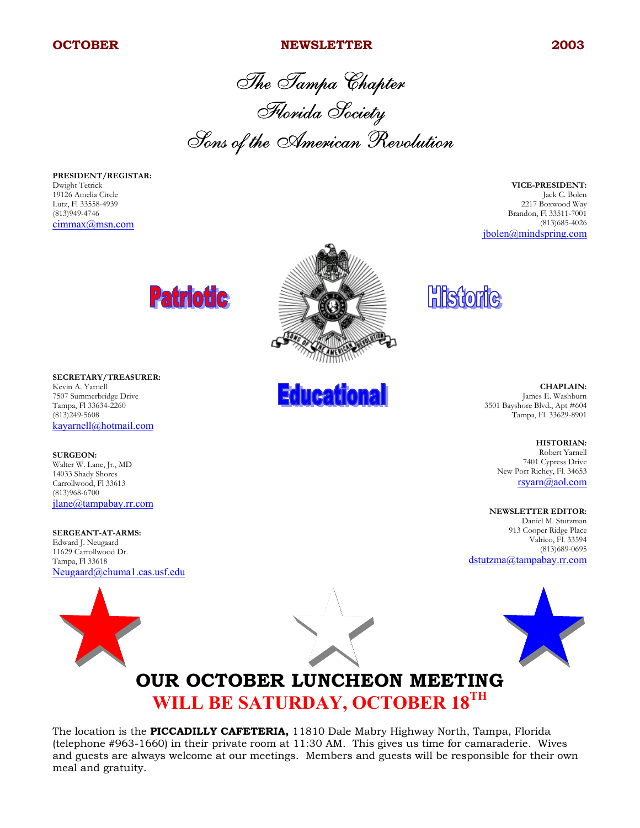#### **OCTOBER NEWSLETTER 2003**

The Tampa Chapter Florida Society Sons of the American Revolution

**PRESIDENT/REGISTAR:** Dwight Tetrick 19126 Amelia Circle Lutz, Fl 33558-4939 (813)949-4746 cimmax@msn.com

**VICE-PRESIDENT:** Jack C. Bolen 2217 Boxwood Way Brandon, Fl 33511-7001 (813)685-4026 jbolen@mindspring.com





**SURGEON:** Walter W. Lane, Jr., MD 14033 Shady Shores Carrollwood, Fl 33613 (813)968-6700 jlane@tampabay.rr.com

**SERGEANT-AT-ARMS:** Edward J. Neugaard 11629 Carrollwood Dr. Tampa, Fl 33618 Neugaard@chuma1.cas.usf.edu



**Educational** 

**Historic** 

**CHAPLAIN:** James E. Washburn 3501 Bayshore Blvd., Apt #604 Tampa, Fl. 33629-8901

> **HISTORIAN:** Robert Yarnell 7401 Cypress Drive New Port Richey, Fl. 34653 rsyarn@aol.com

**NEWSLETTER EDITOR:**

Daniel M. Stutzman 913 Cooper Ridge Place Valrico, Fl. 33594 (813)689-0695 dstutzma@tampabay.rr.com



## **OUR OCTOBER LUNCHEON MEETING WILL BE SATURDAY, OCTOBER 18TH**

The location is the **PICCADILLY CAFETERIA,** 11810 Dale Mabry Highway North, Tampa, Florida (telephone #963-1660) in their private room at 11:30 AM. This gives us time for camaraderie. Wives and guests are always welcome at our meetings. Members and guests will be responsible for their own meal and gratuity.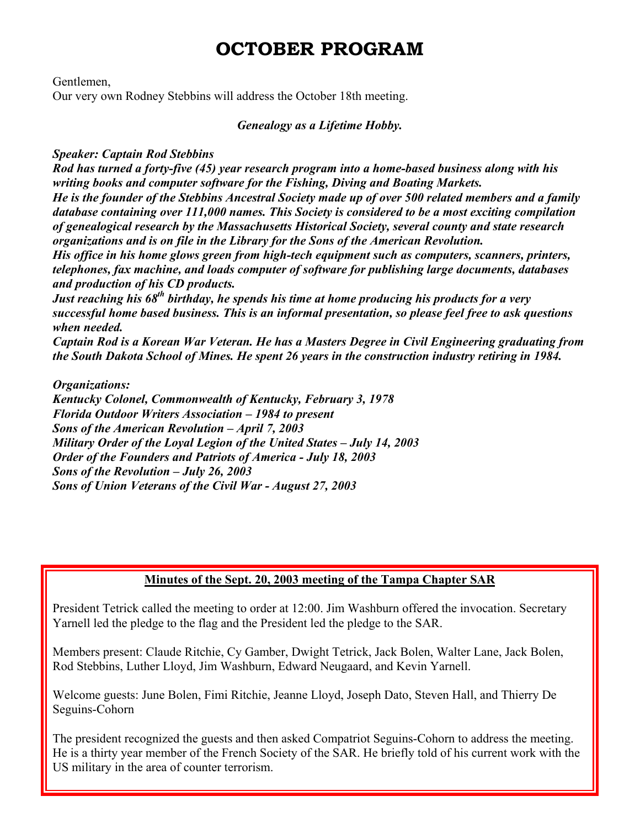### **OCTOBER PROGRAM**

Gentlemen,

Our very own Rodney Stebbins will address the October 18th meeting.

#### *Genealogy as a Lifetime Hobby.*

#### *Speaker: Captain Rod Stebbins*

*Rod has turned a forty-five (45) year research program into a home-based business along with his writing books and computer software for the Fishing, Diving and Boating Markets. He is the founder of the Stebbins Ancestral Society made up of over 500 related members and a family database containing over 111,000 names. This Society is considered to be a most exciting compilation of genealogical research by the Massachusetts Historical Society, several county and state research organizations and is on file in the Library for the Sons of the American Revolution.*

*His office in his home glows green from high-tech equipment such as computers, scanners, printers, telephones, fax machine, and loads computer of software for publishing large documents, databases and production of his CD products.*

*Just reaching his 68th birthday, he spends his time at home producing his products for a very successful home based business. This is an informal presentation, so please feel free to ask questions when needed.*

*Captain Rod is a Korean War Veteran. He has a Masters Degree in Civil Engineering graduating from the South Dakota School of Mines. He spent 26 years in the construction industry retiring in 1984.*

*Organizations:*

*Kentucky Colonel, Commonwealth of Kentucky, February 3, 1978 Florida Outdoor Writers Association – 1984 to present Sons of the American Revolution – April 7, 2003 Military Order of the Loyal Legion of the United States – July 14, 2003 Order of the Founders and Patriots of America - July 18, 2003 Sons of the Revolution – July 26, 2003 Sons of Union Veterans of the Civil War - August 27, 2003*

### **Minutes of the Sept. 20, 2003 meeting of the Tampa Chapter SAR**

President Tetrick called the meeting to order at 12:00. Jim Washburn offered the invocation. Secretary Yarnell led the pledge to the flag and the President led the pledge to the SAR.

Members present: Claude Ritchie, Cy Gamber, Dwight Tetrick, Jack Bolen, Walter Lane, Jack Bolen, Rod Stebbins, Luther Lloyd, Jim Washburn, Edward Neugaard, and Kevin Yarnell.

Welcome guests: June Bolen, Fimi Ritchie, Jeanne Lloyd, Joseph Dato, Steven Hall, and Thierry De Seguins-Cohorn

The president recognized the guests and then asked Compatriot Seguins-Cohorn to address the meeting. He is a thirty year member of the French Society of the SAR. He briefly told of his current work with the US military in the area of counter terrorism.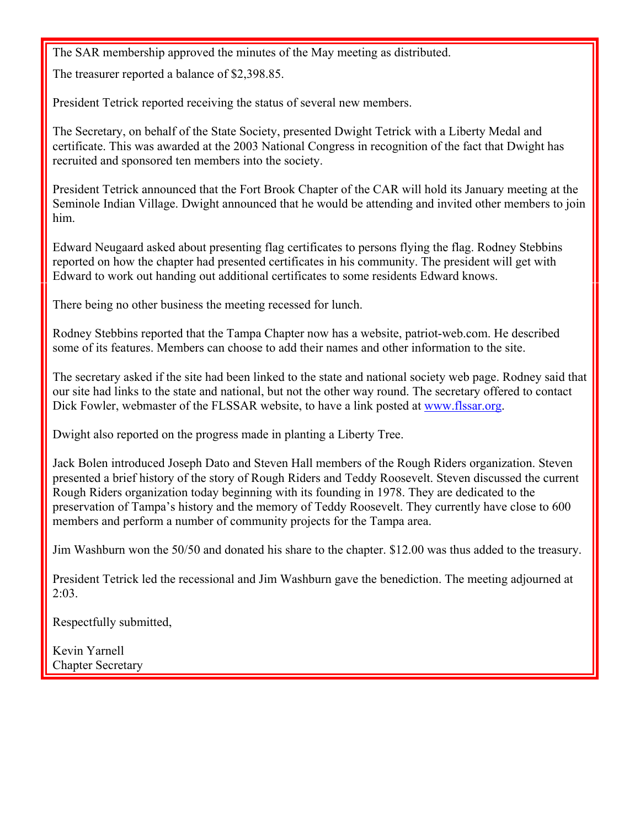The SAR membership approved the minutes of the May meeting as distributed.

The treasurer reported a balance of \$2,398.85.

President Tetrick reported receiving the status of several new members.

The Secretary, on behalf of the State Society, presented Dwight Tetrick with a Liberty Medal and certificate. This was awarded at the 2003 National Congress in recognition of the fact that Dwight has recruited and sponsored ten members into the society.

President Tetrick announced that the Fort Brook Chapter of the CAR will hold its January meeting at the Seminole Indian Village. Dwight announced that he would be attending and invited other members to join him.

Edward Neugaard asked about presenting flag certificates to persons flying the flag. Rodney Stebbins reported on how the chapter had presented certificates in his community. The president will get with Edward to work out handing out additional certificates to some residents Edward knows.

There being no other business the meeting recessed for lunch.

Rodney Stebbins reported that the Tampa Chapter now has a website, patriot-web.com. He described some of its features. Members can choose to add their names and other information to the site.

The secretary asked if the site had been linked to the state and national society web page. Rodney said that our site had links to the state and national, but not the other way round. The secretary offered to contact Dick Fowler, webmaster of the FLSSAR website, to have a link posted at www.flssar.org.

Dwight also reported on the progress made in planting a Liberty Tree.

Jack Bolen introduced Joseph Dato and Steven Hall members of the Rough Riders organization. Steven presented a brief history of the story of Rough Riders and Teddy Roosevelt. Steven discussed the current Rough Riders organization today beginning with its founding in 1978. They are dedicated to the preservation of Tampa's history and the memory of Teddy Roosevelt. They currently have close to 600 members and perform a number of community projects for the Tampa area.

Jim Washburn won the 50/50 and donated his share to the chapter. \$12.00 was thus added to the treasury.

President Tetrick led the recessional and Jim Washburn gave the benediction. The meeting adjourned at 2:03.

Respectfully submitted,

Kevin Yarnell Chapter Secretary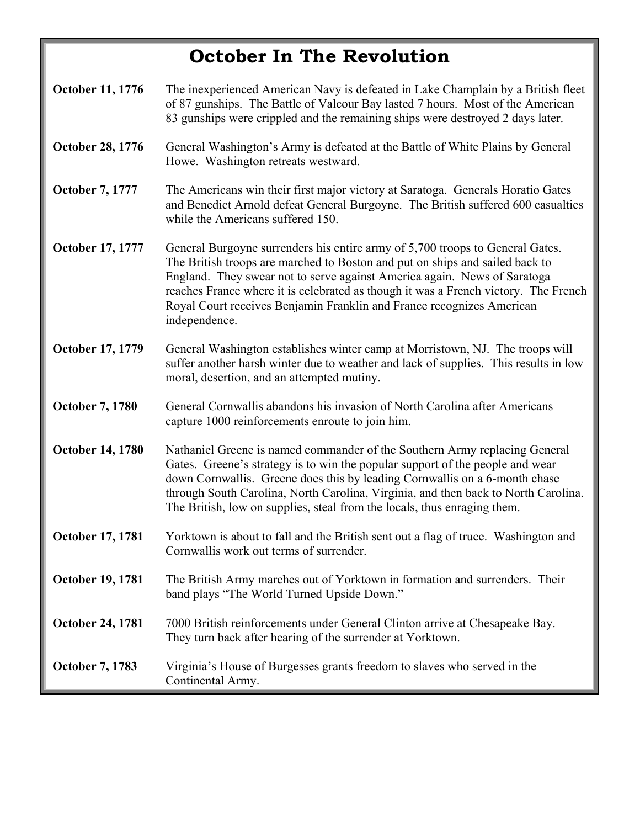# **October In The Revolution**

| October 11, 1776        | The inexperienced American Navy is defeated in Lake Champlain by a British fleet<br>of 87 gunships. The Battle of Valcour Bay lasted 7 hours. Most of the American<br>83 gunships were crippled and the remaining ships were destroyed 2 days later.                                                                                                                                                                       |
|-------------------------|----------------------------------------------------------------------------------------------------------------------------------------------------------------------------------------------------------------------------------------------------------------------------------------------------------------------------------------------------------------------------------------------------------------------------|
| <b>October 28, 1776</b> | General Washington's Army is defeated at the Battle of White Plains by General<br>Howe. Washington retreats westward.                                                                                                                                                                                                                                                                                                      |
| October 7, 1777         | The Americans win their first major victory at Saratoga. Generals Horatio Gates<br>and Benedict Arnold defeat General Burgoyne. The British suffered 600 casualties<br>while the Americans suffered 150.                                                                                                                                                                                                                   |
| October 17, 1777        | General Burgoyne surrenders his entire army of 5,700 troops to General Gates.<br>The British troops are marched to Boston and put on ships and sailed back to<br>England. They swear not to serve against America again. News of Saratoga<br>reaches France where it is celebrated as though it was a French victory. The French<br>Royal Court receives Benjamin Franklin and France recognizes American<br>independence. |
| October 17, 1779        | General Washington establishes winter camp at Morristown, NJ. The troops will<br>suffer another harsh winter due to weather and lack of supplies. This results in low<br>moral, desertion, and an attempted mutiny.                                                                                                                                                                                                        |
| <b>October 7, 1780</b>  | General Cornwallis abandons his invasion of North Carolina after Americans<br>capture 1000 reinforcements enroute to join him.                                                                                                                                                                                                                                                                                             |
| <b>October 14, 1780</b> | Nathaniel Greene is named commander of the Southern Army replacing General<br>Gates. Greene's strategy is to win the popular support of the people and wear<br>down Cornwallis. Greene does this by leading Cornwallis on a 6-month chase<br>through South Carolina, North Carolina, Virginia, and then back to North Carolina.<br>The British, low on supplies, steal from the locals, thus enraging them.                |
| <b>October 17, 1781</b> | Yorktown is about to fall and the British sent out a flag of truce. Washington and<br>Cornwallis work out terms of surrender.                                                                                                                                                                                                                                                                                              |
| <b>October 19, 1781</b> | The British Army marches out of Yorktown in formation and surrenders. Their<br>band plays "The World Turned Upside Down."                                                                                                                                                                                                                                                                                                  |
| <b>October 24, 1781</b> | 7000 British reinforcements under General Clinton arrive at Chesapeake Bay.<br>They turn back after hearing of the surrender at Yorktown.                                                                                                                                                                                                                                                                                  |
| <b>October 7, 1783</b>  | Virginia's House of Burgesses grants freedom to slaves who served in the<br>Continental Army.                                                                                                                                                                                                                                                                                                                              |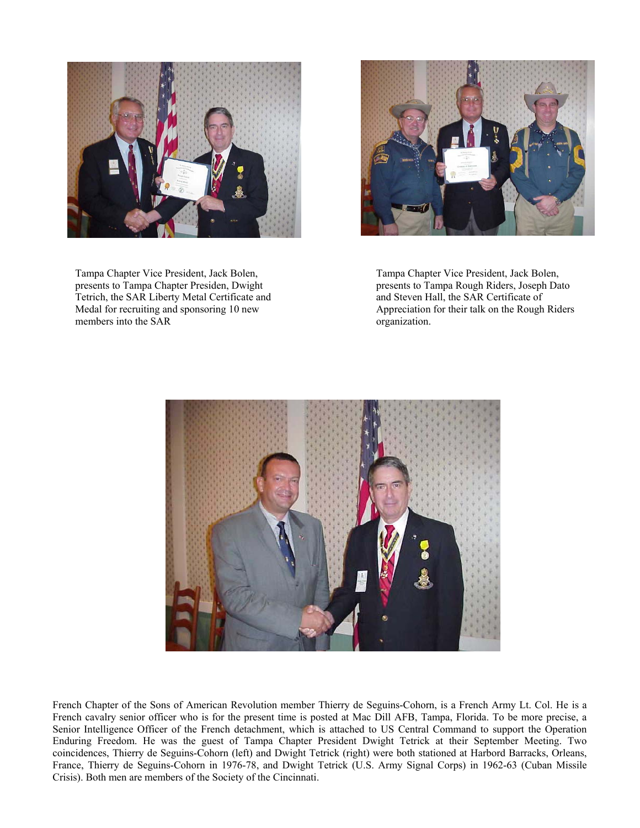

Tampa Chapter Vice President, Jack Bolen, presents to Tampa Chapter Presiden, Dwight Tetrich, the SAR Liberty Metal Certificate and Medal for recruiting and sponsoring 10 new members into the SAR



Tampa Chapter Vice President, Jack Bolen, presents to Tampa Rough Riders, Joseph Dato and Steven Hall, the SAR Certificate of Appreciation for their talk on the Rough Riders organization.



French Chapter of the Sons of American Revolution member Thierry de Seguins-Cohorn, is a French Army Lt. Col. He is a French cavalry senior officer who is for the present time is posted at Mac Dill AFB, Tampa, Florida. To be more precise, a Senior Intelligence Officer of the French detachment, which is attached to US Central Command to support the Operation Enduring Freedom. He was the guest of Tampa Chapter President Dwight Tetrick at their September Meeting. Two coincidences, Thierry de Seguins-Cohorn (left) and Dwight Tetrick (right) were both stationed at Harbord Barracks, Orleans, France, Thierry de Seguins-Cohorn in 1976-78, and Dwight Tetrick (U.S. Army Signal Corps) in 1962-63 (Cuban Missile Crisis). Both men are members of the Society of the Cincinnati.